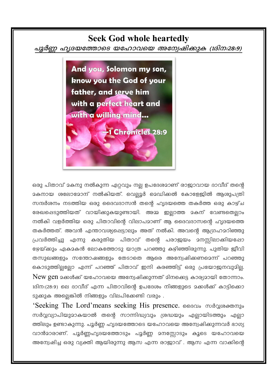# **Seek God whole heartedly**

പുർണ്ണ ഹൃദയത്തോടെ യഹോവയെ അന്വേഷിക്കുക (1ദിന:28:9)

And you, Solomon my son, know you the God of your father, and serve him with a perfect heart and with a willing mind... 1 Chronicles 28:9

ഒരു പിതാവ് മകനു നൽകുന്ന ഏറ്റവും നല്ല ഉപദേശമാണ് രാജാവായ ദാവീദ് തന്റെ മകനായ ശലോമോന് നൽകിയത്. വെല്ലൂർ മെഡിക്കൽ കോളേജിൽ ആശുപത്രി സന്ദർശനം നടത്തിയ ഒരു ദൈവദാസൻ തന്റെ ഹൃദയത്തെ തകർത്ത ഒരു കാഴ്ച രേഖപ്പെടുത്തിയത് വായിക്കുകയുണ്ടായി. അമ്മ ഇല്ലാത്ത മകന് വേണ്ടതെല്ലാം നൽകി വളർത്തിയ ഒരു പിതാവിന്റെ വിലാപമാണ് ആ ദൈവദാസന്റെ ഹൃദയത്തെ തകർത്തത്. അവൻ എന്താവശ്യപ്പെട്ടാലും അത് നൽകി. അവന്റെ ആഗ്രഹമറിഞ്ഞു പ്രവർത്തിച്ചു എന്നു കരുതിയ പിതാവ് തന്റെ പരാജയം മനസ്സിലാക്കിയപ്പോ ഭേയ്ക്കും ഏകാകൻ ലോകത്തോടു യാത്ര പറഞ്ഞു കഴിഞ്ഞിരുന്നു. പുതിയ ജീവി തസുഖങ്ങളും സന്തോഷങ്ങളും തേടാതെ ആരെ അന്വേഷിക്കണമെന്ന് പറഞ്ഞു കൊടുത്തില്ലല്ലോ എന്ന് പറഞ്ഞ് പിതാവ് ഇനി കരഞ്ഞിട്ട് ഒരു പ്രയോജനവുമില്ല. New gen മക്കൾക്ക് യഹോവയെ അന്വേഷിക്കുന്നത് മിനക്കെട്ട കാര്യമായി തോന്നാം. 1ദിന:(28:9) ലെ ദാവീദ് എന്ന പിതാവിന്റെ ഉപദേശം നിങ്ങളുടെ മക്കൾക്ക് കാട്ടിക്കൊ ടുക്കുക അല്ലെങ്കിൽ നിങ്ങളും വിലപിക്കേണ്ടി വരും .

'Seeking The Lord'means seeking His presence. Songlo modgrogomal സർവ്വവ്യാപിയുമാകയാൽ തന്റെ സാന്നിദ്ധ്യവും ശ്രദ്ധയും എല്ലായിടത്തും എല്ലാ ത്തിലും ഉണ്ടാകുന്നു. പൂർണ്ണ ഹൃദയത്തോടെ യഹോവയെ അന്വേഷിക്കുന്നവർ ഭാഗ്യ വാൻമാരാണ്. പൂർണ്ണഹൃദയത്തോടും പൂർണ്ണ മനസ്സോടും കൂടെ യഹോവയെ അന്വേഷിച്ച ഒരു വ്യക്തി ആയിരുന്നു ആസ എന്ന രാജാവ് . ആസ എന്ന വാക്കിന്റെ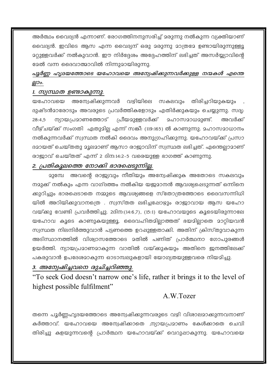അർത്ഥം വൈദ്യൻ എന്നാണ്. രോഗത്തിനനുസരിച്ച് മരുന്നു നൽകുന്ന വ്യക്തിയാണ് വൈദ്യൻ. ഇവിടെ ആസ എന്ന വൈദ്യന് ഒരു മരുന്നു മാത്രമേ ഉണ്ടായിരുന്നുള്ളൂ മഠുള്ളവർക്ക് നൽകുവാൻ. ഈ നിർദ്ദേശം അദ്ദേഹത്തിന് ലഭിച്ചത് അസർയ്യാവിന്റെ ദേൽ വന്ന ദൈവാത്മാവിൽ നിന്നുമായിരുന്നു.

# പൂർണ്ണ ഹൃദയത്തോടെ യഹോവയെ അന്വേഷിക്കുന്നവർക്കുള്ള നന്മകൾ എന്തെ ല്ലാം.

#### 1. സ്വസ്ഥത ഉണ്ടാകുന്നു.

യഹോവയെ അന്വേഷിക്കുന്നവർ വഴിയിലെ സകലവും തിരിച്ചറിയുകയും ദുഷ്ടൻമാരോടും അവരുടെ പ്രവർത്തികളോടും എതിർക്കുകയും ചെയ്യുന്നു. സദ്യ: ന്യായപ്രമാണത്തോട് പ്രീയമുള്ളവർക്ക് മഹാസമാധമുണ്ട്.  $28:4.5$ അവർക്ക് വീഴ്ചയ്ക്ക് സംഗതി ഏതുമില്ല എന്ന് സങ്കീ: (119:165) ൽ കാണുന്നു. മഹാസമാധാനം നൽകുന്നവർക്ക് സ്വസ്ഥത നൽകി ദൈവം അനുഗ്രഹിക്കുന്നു. യഹോവയ്ക്ക് പ്രസാ ദമായത് ചെയ്തതു മൂലമാണ് ആസാ രാജാവിന് സ്വസ്ഥത ലഭിച്ചത്. എന്തെലാമാണ് രാജാവ് ചെയ്തത് എന്ന് 2 ദിന:14:2-5 വരെയുള്ള ഭാഗത്ത് കാണുന്നു.

#### 2. പ്രതികൂലത്തെ നോക്കി ഭാരഷെടുന്നില്ല.

2ുമ്പേ അവന്റെ രാജ്യവും നീതിയും അന്വേഷിക്കുക അതോടെ സകലവും നമുക്ക് നൽകും എന്ന വാഗ്ദത്തം നൽകിയ യജമാനൻ ആവശ്യപ്പെടുന്നത് ഒന്നിനെ ക്കുറിച്ചും ഭാരപ്പെടാതെ നമ്മുടെ ആവശ്യങ്ങളെ സ്തോത്രത്തോടെ ദൈവസന്നിധി യിൽ അറിയിക്കുവാനത്രെ . സ്വസ്തത ലഭിച്ചപ്പോഴ്യും രാജാവായ ആസ യഹോ വയ്ക്കു വേണ്ടി പ്രവർത്തിച്ചു. 2ദിന:(14:6,7), (15:1) യഹോവയുടെ കൂടെയിരുന്നാലേ യഹോവ കൂടെ കാണുകയുള്ളൂ. ദൈവഹിതമില്ലാത്തത് ഭയമില്ലാതെ മാറ്റിയവൻ സ്വസ്ഥത നിലനിർത്തുവാൻ പട്ടണത്തെ ഉറപ്പുള്ളതാക്കി. അതിന് ക്രിസ്തുവാകുന്ന അടിസ്ഥാനത്തിൽ വിശ്വാസത്തോടെ മതിൽ പണിത് പ്രാർത്ഥനാ ഗോപുരങ്ങൾ ഉയർത്തി. ന്യായപ്രമാണമാകുന്ന വാതിൽ വയ്ക്കുകയും അതിനെ ഇനത്തിലേക്ക് പകരുവാൻ ഉപദേശമാകുന്ന ഓടാമ്പലുകളായി യോഗ്യതയുള്ളവരെ നിയമിച്ചു.

## 3. അന്വേഷിച്ചവനെ രുചിച്ചറിഞ്ഞു.

"To seek God doesn't narrow one's life, rather it brings it to the level of highest possible fulfilment"

# A.W.Tozer

തന്നെ പൂർണ്ണഹൃദയത്തോടെ അന്വേഷിക്കുന്നവരുടെ വഴി വിശാലമാക്കുന്നവനാണ് കർത്താവ്. യഹോവയെ അന്വേഷിക്കാതെ .ന്യായപ്രമാണം കേൾക്കാതെ ചെവി തിരിച്ചു കളയുന്നവന്റെ പ്രാർത്ഥന യഹോവയ്ക്ക് വെറുപ്പാകുന്നു. യഹോവയെ